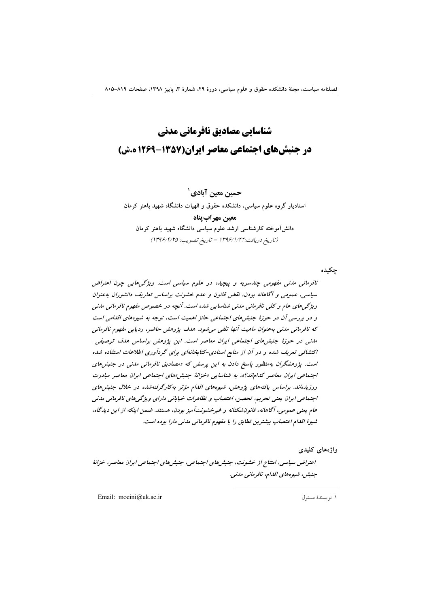# شناسایی مصادیق نافرمانی مدنی در جنبشهای اجتماعی معاصر ایران(۱۳۵۷-۱۲۶۹ ه.ش)

حسین معین آبادی` استادیار گروه علوم سیاسی، دانشکده حقوق و الهیات دانشگاه شهید باهنر کرمان معبن مهراب بناه دانش آموخته کارشناسی ارشد علوم سیاسی دانشگاه شهید باهنر کرمان (تاريخ دريافت:١٣٩۶/١/٢٢ - تاريخ تصويب: ١٣٩۶/١/٢٥)

چکیده

نافرمانی مدنی مفهومی چندسویه و پیچیده در علوم سیاسی است. ویژگی هایی چون اعتراض سیاسی، عمومی و آگاهانه بودن، نقض قانون و عدم خشونت براساس تعاریف دانشوران بهعنوان ویژگهاهای عام و کلی نافرمانی مدنی شناسایی شده است. آنچه در خصوص مفهوم نافرمانی مدنی و در بررسی آن در حوزهٔ جنبشهای اجتماعی حائز اهمیت است، توجه به شیوههای اقدامی است كه نافرماني مدني بهعنوان ماهيت آنها تلقى مي شود. هدف پژوهش حاضر، رديابي مفهوم نافرماني مدنی در حوزهٔ جنبش های اجتماعی ایران معاصر است. این پژوهش براساس هدف توصیفی-اکتشافی تعریف شده و در آن از منابع اسنادی-کتابخانهای برای گردآوری اطلاعات استفاده شده است. پژوهشگران بهمنظور پاسخ دادن به این پرسش که «مصادیق نافرمانی مدنی در جنبش های اجتماعی ایران معاصر کداماند؟»، به شناسایی «خزانهٔ جنبش»های اجتماعی ایران معاصر مبادرت ورزیدهاند. براساس یافتههای پژوهش، شیوههای اقدام مؤثر بهکارگرفتهشده در خلال جنبش های اجتماعی ایران یعنی تحریم، تحصن، اعتصاب و تظاهرات خیابانی دارای ویژگی های نافرمانی مدنی عام یعنی عمومی، آگاهانه، قانون شکنانه و غیرخشونت آمیز بودن، هستند. ضمن اینکه از این دیدگاه، شیوهٔ اقدام اعتصاب بیشترین تطابق را با مفهوم نافرمانی مدنی دارا بوده است.

واژەھاي كليدى

اعتراض سیاسی، امتناع از خشونت، جنبش های اجتماعی، جنبش های اجتماعی ایران معاصر، خزانهٔ جنېش، شيوه هاي اقدام، نافرماني مدني.

Email: moeini@uk.ac.ir

١. نو يسندة مسئول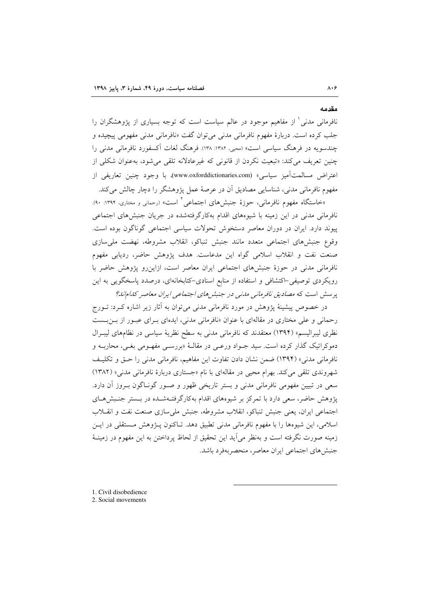نافرمانی مدنی ٰ از مفاهیم موجود در عالم سیاست است که توجه بسیاری از پژوهشگران را جلب کرده است. دربارهٔ مفهوم نافرمانی مدنی می توان گفت «نافرمانی مدنی مفهومی پیچیده و چندسویه در فرهنگ سیاسی است» (محبی، ۱۳۸۲: ۱۳۸). فرهنگ لغات آکسفورد نافرمانی مدنی را چنین تعریف می کند: «تبعیت نکردن از قانونی که غیرعادلانه تلقی می شود، بهعنوان شکلی از اعتراض مسالمتآميز سياسي» (www.oxforddictionaries.com). با وجود چنين تعاريفي از مفهوم نافرمانی مدنی، شناسایی مصادیق أن در عرصهٔ عمل پژوهشگر را دچار چالش میکند.

«خاستگاه مفهوم نافرمانی، حوزهٔ جنبشهای اجتماعی<sup>۲</sup> است» (رحمان<sub>ی</sub> و مختاری، ۱۳۹۴: ۹۰). نافرمانی مدنی در این زمینه با شیوههای اقدام بهکارگرفتهشده در جریان جنبشهای اجتماعی پیوند دارد. ایران در دوران معاصر دستخوش تحولات سیاسی اجتماعی گوناگون بوده است. وقوع جنبش،اوي اجتماعي متعدد مانند جنبش تنباكو، انقلاب مشروطه، نهضت ملي سازي صنعت نفت و انقلاب اسلامی گواه این مدعاست. هدف پژوهش حاضر، ردیابی مفهوم نافرمانی مدنی در حوزهٔ جنبشهای اجتماعی ایران معاصر است، ازاین رو پژوهش حاضر با رویکردی توصیفی–اکتشافی و استفاده از منابع اسنادی–کتابخانهای، درصدد پاسخگویی به این پرسش است که مصادیق نافرمانی مدنی در جنبش های اجتماعی ایران معاصر کدام نانا؟

در خصوص پیشینهٔ پژوهش در مورد نافرمانی مدنی میتوان به آثار زیر اشاره کـرد: تــورج رحمانی و علی مختاری در مقالهای با عنوان «نافرمانی مدنی، ایدهای بـرای عبـور از بـن بـست نظری لیبرالیسم» (۱۳۹۴) معتقدند که نافرمانی مدنی به سطح نظریهٔ سیاسی در نظامهای لیبـرال دموکراتیک گذار کرده است. سید جــواد ورعــی در مقالــهٔ «بررســی مفهــومی بغــی، محاربــه و نافرمانی مدنی» (۱۳۹۴) ضمن نشان دادن تفاوت این مفاهیم، نافرمانی مدنی را حتی و تکلیف شهروندي تلقي مي كند. بهرام محيي در مقالهاي با نام «جستاري دربارهٔ نافرماني مدني» (١٣٨٢) سعی در تبیین مفهومی نافرمانی مدنی و بستر تاریخی ظهور و صـور گونـاگون بـروز آن دارد. پژوهش حاضر، سعی دارد با تمرکز بر شیوههای اقدام بهکارگرفتـهشـده در بـستر جنـبش هـای اجتماعی ایران، یعنی جنبش تنباکو، انقلاب مشروطه، جنبش ملیسازی صنعت نفت و انقــلاب اسلامی، این شیوهها را با مفهوم نافرمانی مدنی تطبیق دهد. تـاکنون پـژوهش مـستقلی در ایـن زمینه صورت نگرفته است و بهنظر می[ید این تحقیق از لحاظ پرداختن به این مفهوم در زمینــهٔ جنبش های اجتماعی ایران معاصر، منحصربهفرد باشد.

1. Civil disobedience

مقدمه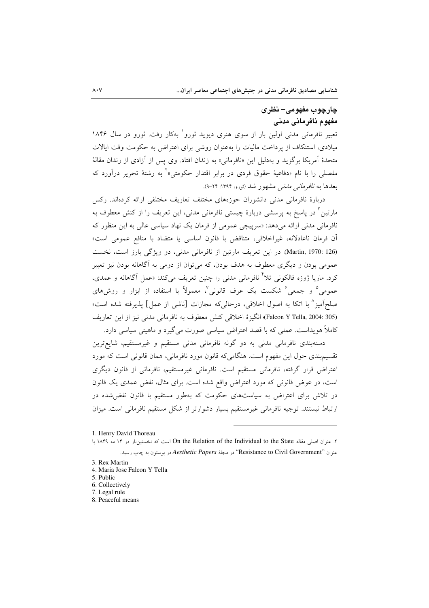## چارچوب مفهومي– نظري مفهوم نافرماني مدني

تعبیر نافرمانی مدنی اولین بار از سوی هنری دیوید ثورو<sup>\</sup> بهکار رفت. ثورو در سال ۱۸۴۶ میلادی، استنکاف از یرداخت مالیات را بهعنوان روشی برای اعتراض به حکومت وقت ایالات متحدهٔ آمریکا برگزید و بهدلیل این «نافرمانی» به زندان افتاد. وی پس از آزادی از زندان مقالهٔ مفصلی را با نام «دفاعیهٔ حقوق فردی در برابر اقتدار حکومتی»<sup>۲</sup> به رشتهٔ تحریر درآورد که بعدها به *نافرمانی مدنی* مشهور شد (<sub>ثورو،</sub> ۱۳۹۴: ۲۴-۹).

دربارهٔ نافرمانی مدنی دانشوران حوزههای مختلف تعاریف مختلفی ارائه کردهاند. رکس مارتین ٌ در پاسخ به پرسشی دربارهٔ چیستی نافرمانی مدنی، این تعریف را از کنش معطوف به نافرمانی مدنی ارائه میدهد: «سرپیچی عمومی از فرمان یک نهاد سیاسی عالی به این منظور که آن فرمان ناعادلانه، غيراخلاقي، متناقض با قانون اساسي يا متضاد با منافع عمومي است» (Martin, 1970: 126). در این تعریف مارتین از نافرمانی مدنی، دو ویژگی بارز است، نخست عمومی بودن و دیگری معطوف به هدف بودن، که می توان از دومی به آگاهانه بودن نیز تعبیر کرد. ماریا ژوزه فالکونی تلاً نافرمانی مدنی را چنین تعریف میکند: «عمل آگاهانه و عمدی، عمومی ؓ و جمعی ؒ شکست یک عرف قانونی ؒ، معمولاً با استفاده از ایزار و روش های صلحاًمیز ^ با اتکا به اصول اخلاقی، درحالی که مجازات [ناشی از عمل] پذیرفته شده است» (Falcon Y Tella, 2004: 305)؛ انگيزة اخلاقي كنش معطوف به نافرماني مدني نيز از اين تعاريف کاملاً هویداست. عملی که با قصد اعتراض سیاسی صورت میگیرد و ماهیتی سیاسی دارد.

دستهبندی نافرمانی مدنی به دو گونه نافرمانی مدنی مستقیم و غیرمستقیم، شایعترین تقسیم بندی حول این مفهوم است. هنگامی که قانون مورد نافرمانی، همان قانونی است که مورد اعتراض قرار گرفته، نافرمانی مستقیم است. نافرمانی غیرمستقیم، نافرمانی از قانون دیگری است، در عوض قانونی که مورد اعتراض واقع شده است. برای مثال، نقض عمدی یک قانون در تلاش برای اعتراض به سیاستهای حکومت که بهطور مستقیم با قانون نقض شده در ارتباط نیستند. توجیه نافرمانی غیرمستقیم بسیار دشوارتر از شکل مستقیم نافرمانی است. میزان

1. Henry David Thoreau

- 4. Maria Jose Falcon Y Tella
- 5. Public
- 6. Collectively
- 7. Legal rule 8. Peaceful means
- 

٢. عنوان اصلي مقاله On the Relation of the Individual to the State است كه نخستينبار در ١۴ مه ١٨۴٩ با عنوان ''Resistance to Civil Government'' در مجلة *Aesthetic Papers د*ر بوستون به چاپ رسید.

<sup>3.</sup> Rex Martin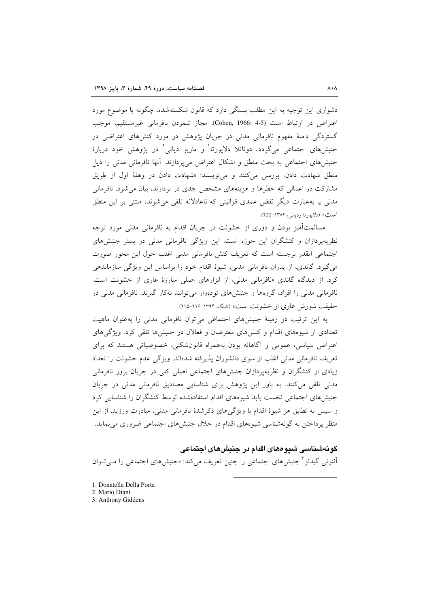دشواری این توجیه به این مطلب بستگی دارد که قانون شکستهشده، چگونه با موضوع مورد اعتراض در ارتباط است (Cohen, 1966: 4-5). مجاز شمردن نافرمانی غیرمستقیم، موجب گستردگی دامنهٔ مفهوم نافرمانی مدنی در جریان پژوهش در مورد کنشهای اعتراضی در جنبشهای اجتماعی میگردد. دوناتلا دلاپورتا<sup>۱</sup> و ماریو دیانی<sup>۲</sup> در پژوهش خود دربارهٔ جنبش های اجتماعی به بحث منطق و اشکال اعتراض می پردازند. آنها نافرمانی مدنی را ذیل منطق شهادت دادن، بررسی میکنند و می نویسند: «شهادت دادن در وهلهٔ اول از طریق مشارکت در اعمالی که خطرها و هزینههای مشخص جدی در بردارند، بیان می شود. نافرمانی مدنی یا بهعبارت دیگر نقض عمدی قوانینی که ناعادلانه تلقی می شوند، مبتنی بر این منطق است» (دلايورتا ودياني، ١٣٨۴: ٢٥٥).

مسالمتآمیز بودن و دوری از خشونت در جریان اقدام به نافرمانی مدنی مورد توجه نظریهیردازان و کنشگران این حوزه است. این ویژگی نافرمانی مدنی در بستر جنبشهای اجتماعی أنقدر برجسته است که تعریف کنش نافرمانی مدنی اغلب حول این محور صورت می گیرد. گاندی، از پدران نافرمانی مدنی، شیوهٔ اقدام خود را براساس این ویژگی سازماندهی کرد. از دیدگاه گاندی «نافرمانی مدنی، از ابزارهای اصلی مبارزهٔ عاری از خشونت است. نافرمانی مدنی را افراد، گروهها و جنبشهای تودهوار می توانند بهکار گیرند. نافرمانی مدنی در حقيقت شورش عاري از خشونت است» (كينگ، ١٣٩٤: ٢١٥-٢١٥).

به این ترتیب در زمینهٔ جنبشهای اجتماعی میتوان نافرمانی مدنی را بهعنوان ماهیت تعدادی از شیوههای اقدام و کنشهای معترضان و فعالان در جنبشها تلقی کرد. ویژگیهای اعتراض سیاسی، عمومی و آگاهانه بودن بههمراه قانونشکنی، خصوصیاتی هستند که برای تعریف نافرمانی مدنی اغلب از سوی دانشوران پذیرفته شدهاند. ویژگی عدم خشونت را تعداد زیادی از کنشگران و نظریهپردازان جنبشهای اجتماعی اصلی کلی در جریان بروز نافرمانی مدنی تلقی می کنند. به باور این پژوهش برای شناسایی مصادیق نافرمانی مدنی در جریان جنبش های اجتماعی نخست باید شیوههای اقدام استفادهشده توسط کنشگران را شناسایی کرد و سپس به تطابق هر شیوهٔ اقدام با ویژگیهای ذکرشدهٔ نافرمانی مدنی، مبادرت ورزید. از این منظر پرداختن به گونهشناسی شیوههای اقدام در خلال جنبش های اجتماعی ضروری می نماید.

#### گونهشناسی شیوههای اقدام در جنبشهای اجتماعی

اَنتونی گیدنز <sup>۳</sup> جنبش های اجتماعی را چنین تعریف می کند: «جنبش های اجتماعی را مــی تــوان

- 1. Donatella Della Porta
- 2. Mario Diani
- 3. Anthony Giddens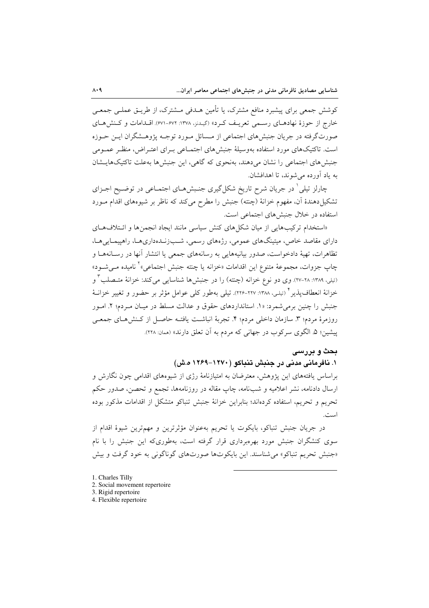کوشش جمعی برای پیشبرد منافع مشترک، یا تأمین هــدفی مــشترک، از طریــق عملــی جمعــی خارج از حوزهٔ نهادهبای رسیمی تعریف کرد» (گیدنز، ۱۳۷۸: ۶۷۱-۶۷۱). اقبدامات و کینش هیای صورتگرفته در جریان جنبشهای اجتماعی از مـسائل مـورد توجـه پژوهـشگران ایـن حـوزه است. تاکتیکهای مورد استفاده بهوسیلهٔ جنبشهای اجتمـاعی بـرای اعتـراض، منظـر عمـومی جنبش های اجتماعی را نشان می دهند، بهنحوی که گاهی، این جنبش ها بهعلت تاکتیک هایـشان به ياد آورده مي شوند، تا اهدافشان.

چارلز تیلی ٰ در جریان شرح تاریخ شکل گیری جنـبش۱عـای اجتمـاعی در توضـیح اجـزای تشکیل دهندهٔ آن، مفهوم خزانهٔ (چنته) جنبش را مطرح میکند که ناظر بر شیوههای اقدام مـورد استفاده در خلال جنبشهای اجتماعی است.

«استخدام ترکیبهایی از میان شکلهای کنش سیاسی مانند ایجاد انجمنها و ائتلافهای دارای مقاصد خاص، میتینگهای عمومی، رژههای رسمی، شـبزنـدهداریهـا، راهپیمـاییِهـا، تظاهرات، تهیهٔ دادخواست، صدور بیانیههایی به رسانههای جمعی یا انتشار آنها در رسـانههـا و چاپ جزوات، مجموعهٔ متنوع این اقدامات «خزانه یا چنته جنبش اجتماعی»<sup>۲</sup> نامیده مــیشــود» (تیلی، ۱۳۸۹: ۲۸-۲۷). وی دو نوع خزانه (چنته) را در جنبشها شناسایی میکند: خزانهٔ متـصلب ٌ و خزانهٔ انعطاف پذیر \* (تیلی، ۱۳۸۸: ۲۲۷-۲۲۶). تیلی بهطور کلی عوامل مؤثر بر حضور و تغییر خزانـهٔ جنبش را چنین برمی شمرد: «۱. استانداردهای حقوق و عدالت مسلط در میـان مـردم؛ ۲. امـور روزمرهٔ مردم؛ ٣. سازمان داخلی مردم؛ ۴. تجربهٔ انباشت یافتـه حاصـل از کـنش۵حـای جمعـی پیشین؛ ۵. الگوی سرکوب در جهانی که مردم به آن تعلق دارند» (ممان: ۲۲۸).

### بحث و بررسی

١. نافرمانی مدنی در حنیش تنباکو (١٢٧٠-١٢۶٩ ه.ش)

براساس یافتههای این پژوهش، معترضان به امتیازنامهٔ رژی از شیوههای اقدامی چون نگارش و ارسال دادنامه، نشر اعلامیه و شبiامه، چاپ مقاله در روزنامهها، تجمع و تحصن، صدور حکم تحریم و تحریم، استفاده کردهاند؛ بنابراین خزانهٔ جنبش تنباکو متشکل از اقدامات مذکور بوده است.

در جريان جنبش تنباكو، بايكوت يا تحريم بهعنوان مؤثرترين و مهمترين شيوة اقدام از سوی کنشگران جنبش مورد بهرهبرداری قرار گرفته است، بهطوریکه این جنبش را با نام «جنبش تحریم تنباکو» می شناسند. این بایکوتها صورتهای گوناگونی به خود گرفت و بیش

- 1. Charles Tilly
- 2. Social movement repertoire
- 3. Rigid repertoire
- 4. Flexible repertoire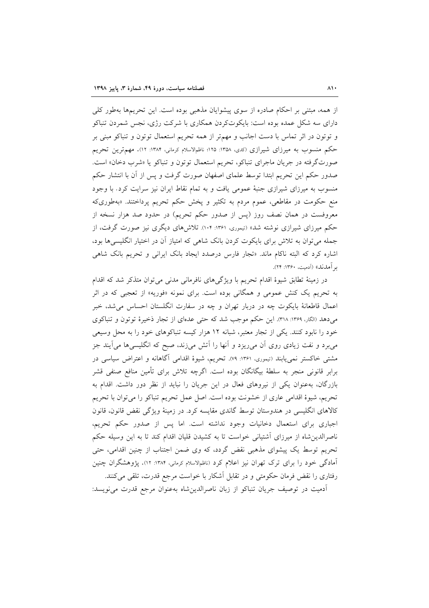از همه، مبتنی بر احکام صادره از سوی پیشوایان مذهبی بوده است. این تحریمها بهطور کلی دارای سه شکل عمده بوده است: بایکوتکردن همکاری با شرکت رژی، نجس شمردن تنباکو و توتون در اثر تماس با دست اجانب و مهمتر از همه تحریم استعمال توتون و تنباکو مبنی بر حکم منسوب به میرزای شیرازی (کدی، ۱۳۵۸: ۱۲۵۵ ناظمالاسلام کرمانی، ۱۳۸۴: ۱۲). مهمترین تحریم صورتگرفته در جریان ماجرای تنباکو، تحریم استعمال توتون و تنباکو یا «شرب دخان» است. صدور حکم این تحریم ابتدا توسط علمای اصفهان صورت گرفت و پس از آن با انتشار حکم منسوب به میرزای شیرازی جنبهٔ عمومی یافت و به تمام نقاط ایران نیز سرایت کرد. با وجود منع حکومت در مقاطعی، عموم مردم به تکثیر و یخش حکم تحریم پرداختند. «بهطوریکه معروفست در همان نصف روز (پس از صدور حکم تحریم) در حدود صد هزار نسخه از حکم میرزای شیرازی نوشته شد» (تیموری، ۱۳۶۱: ۱۰۴). تلاش۵های دیگری نیز صورت گرفت، از جمله می توان به تلاش برای بایکوت کردن بانک شاهی که امتیاز آن در اختیار انگلیسی ها بود، اشاره کرد که البته ناکام ماند. «تجار فارس درصدد ایجاد بانک ایرانی و تحریم بانک شاهی بر آمدند» (اَدمیت، ۱۳۶۰: ۲۴).

در زمینهٔ تطابق شیوهٔ اقدام تحریم با ویژگیهای نافرمانی مدنی می توان متذکر شد که اقدام به تحریم یک کنش عمومی و همگانی بوده است. برای نمونه «فوریه» از تعجبی که در اثر اعمال قاطعانهٔ بایکوت چه در دربار تهران و چه در سفارت انگلستان احساس می شد، خبر می دهد (الگار، ۱۳۶۹: ۳۱۸). این حکم موجب شد که حتی عدمای از تجار ذخیرهٔ توتون و تنباکوی خود را نابود کنند. یکی از تجار معتبر، شبانه ۱۲ هزار کیسه تنباکوهای خود را به محل وسیعی میبرد و نفت زیادی روی آن می٫ریزد و آنها را آتش می¿ند، صبح که انگلیسیها می]یند جز مشتی خاکستر نمییابند (تیموری، ۱۳۶۱: ۷۹). تحریم، شیوهٔ اقدامی آگاهانه و اعتراض سیاسی در برابر قانونی منجر به سلطهٔ بیگانگان بوده است. اگرچه تلاش برای تأمین منافع صنفی قشر بازرگان، بهعنوان یکی از نیروهای فعال در این جریان را نباید از نظر دور داشت. اقدام به تحریم، شیوهٔ اقدامی عاری از خشونت بوده است. اصل عمل تحریم تنباکو را میتوان با تحریم کالاهای انگلیسی در هندوستان توسط گاندی مقایسه کرد. در زمینهٔ ویژگی نقض قانون، قانون اجباری برای استعمال دخانیات وجود نداشته است. اما پس از صدور حکم تحریم، ناصرالدین شاه از میرزای آشتیانی خواست تا به کشیدن قلیان اقدام کند تا به این وسیله حکم تحریم توسط یک پیشوای مذهبی نقض گردد، که وی ضمن اجتناب از چنین اقدامی، حتی اّمادگی خود را برای ترک تهران نیز اعلام کرد (ناظمالاسلام کرمانی، ۱۳۸۴: ۱۲). یژوهشگران چنین رفتاری را نقض فرمان حکومتی و در تقابل اَشکار با خواست مرجع قدرت، تلقی میکنند.

أدميت در توصيف جريان تنباكو از زبان ناصرالدين شاه بهعنوان مرجع قدرت مي نويسد: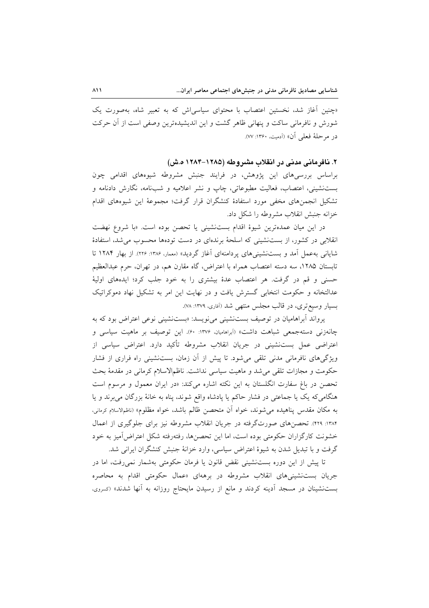«چنین آغاز شد، نخستین اعتصاب با محتوای سیاسی اش که به تعبیر شاه، بهصورت یک شورش و نافرمانی ساکت و پنهانی ظاهر گشت و این اندیشیدهترین وصفی است از آن حرکت در مرحلة فعلى أن» (أدميت، ١٣۶٠: ٧٧).

### ۲. نافرمانی مدنی در انقلاب مشروطه (۱۲۸۵–۱۲۸۴ ه.ش)

براساس بررسیهای این پژوهش، در فرایند جنبش مشروطه شیوههای اقدامی چون بستنشینی، اعتصاب، فعالیت مطبوعاتی، چاپ و نشر اعلامیه و شبنامه، نگارش دادنامه و تشكيل انجمنهاي مخفى مورد استفادهٔ كنشگران قرار گرفت؛ مجموعهٔ اين شيوههاي اقدام خزانه جنبش انقلاب مشروطه را شكل داد.

در این میان عمدهترین شیوهٔ اقدام بستنشینی یا تحصن بوده است. «با شروع نهضت انقلابی در کشور، از بست نشینی که اسلحهٔ برندهای در دست تودهها محسوب می شد، استفادهٔ شایانی به عمل آمد و بستنشینیهای پردامنهای آغاز گردید» (معمار، ۱۳۸۶: ۲۲۶). از بهار ۱۲۸۴ تا تابستان ۱۲۸۵، سه دسته اعتصاب همراه با اعتراض، گاه مقارن هم، در تهران، حرم عبدالعظیم حسنی و قم در گرفت. هر اعتصاب عدهٔ بیشتری را به خود جلب کرد؛ ایدههای اولیهٔ عدالتخانه و حکومت انتخابی گسترش یافت و در نهایت این امر به تشکیل نهاد دموکراتیک بسیار وسیع تری، در قالب مجلس منتهی شد (أفاری، ۱۳۷۹: ۷۸).

یرواند آبراهامیان در توصیف بستنشینی می نویسد: «بستنشینی نوعی اعتراض بود که به چانەزنى دستەجمعى شباهت داشت» (أبراهاميان، ١٣٧۶: ۶۰). اين توصيف بر ماهيت سياسى و اعتراضی عمل بستنشینی در جریان انقلاب مشروطه تأکید دارد. اعتراض سیاسی از ویژگیهای نافرمانی مدنی تلقی میشود. تا پیش از آن زمان، بستنشینی راه فراری از فشار حکومت و مجازات تلقی می شد و ماهیت سیاسی نداشت. ناظمالاسلام کرمانی در مقدمهٔ بحث تحصن در باغ سفارت انگلستان به این نکته اشاره میکند: «در ایران معمول و مرسوم است هنگامی که یک یا جماعتی در فشار حاکم یا پادشاه واقع شوند، پناه به خانهٔ بزرگان می برند و یا به مكان مقدس يناهيده مي شوند، خواه أن متحصن ظالم باشد، خواه مظلوم» (ناظمالاسلام كرماني، ۱۳۸۴: ۴۲۹). تحصنهای صورتگرفته در جریان انقلاب مشروطه نیز برای جلوگیری از اعمال خشونت كارگزاران حكومتى بوده است، اما اين تحصنها، رفتهرفته شكل اعتراض آميز به خود گرفت و با تبدیل شدن به شیوهٔ اعتراض سیاسی، وارد خزانهٔ جنبش کنشگران ایرانی شد.

تا پیش از این دوره بستنشینی نقض قانون یا فرمان حکومتی بهشمار نمی رفت، اما در جریان بست:شینیهای انقلاب مشروطه در برههای «عمال حکومتی اقدام به محاصره بستنشینان در مسجد اَدینه کردند و مانع از رسیدن مایحتاج روزانه به اَنها شدند» (<sub>کسروی،</sub>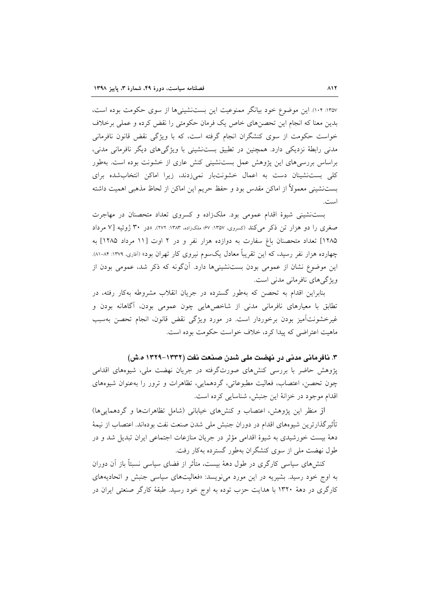١٣٥٧: ١٠۴). اين موضوع خود بيانگر ممنوعيت اين بستنشينيها از سوى حكومت بوده است، بدین معنا که انجام این تحصن های خاص یک فرمان حکومتی را نقض کرده و عملی برخلاف خواست حکومت از سوی کنشگران انجام گرفته است، که با ویژگی نقض قانون نافرمانی مدنی رابطهٔ نزدیکی دارد. همچنین در تطبیق بستنشینی با ویژگیهای دیگر نافرمانی مدنی، براساس بررسیهای این پژوهش عمل بستنشینی کنش عاری از خشونت بوده است. بهطور کلی بستنشینان دست به اعمال خشونتبار نمیزدند، زیرا اماکن انتخابشده برای بستنشینی معمولاً از اماکن مقدس بود و حفظ حریم این اماکن از لحاظ مذهبی اهمیت داشته است.

بست نشینی شیوهٔ اقدام عمومی بود. ملکزاده و کسروی تعداد متحصنان در مهاجرت صغری را دو هزار تن ذکر می کند (کسروی، ۱۳۵۷: ۶۷؛ ملک(اده، ۱۳۸۳: ۲۷۲). «در ۳۰ ژوئیه [۷ مرداد ۱۲۸۵] تعداد متحصنان باغ سفارت به دوازده هزار نفر و در ۲ اوت [۱۱ مرداد ۱۲۸۵] به چهارده هزار نفر رسید، که این تقریباً معادل یکسوم نیروی کار تهران بود» (اَفاری، ۱۳۷۹: ۸۴–۸۱). این موضوع نشان از عمومی بودن بستنشینیها دارد. آنگونه که ذکر شد، عمومی بودن از ویژگیهای نافرمانی مدنی است.

بنابراین اقدام به تحصن که بهطور گسترده در جریان انقلاب مشروطه بهکار رفته، در تطابق با معیارهای نافرمانی مدنی از شاخصهایی چون عمومی بودن، آگاهانه بودن و غیرخشونتأمیز بودن برخوردار است. در مورد ویژگی نقض قانون، انجام تحصن بهسبب ماهيت اعتراضي كه پيدا كرد، خلاف خواست حكومت بوده است.

۳. نافرمانی مدنی در نهضت ملی شدن صنعت نفت (۱۳۳۲–۱۳۲۹ ه.ش)

پژوهش حاضر با بررسی کنشهای صورتگرفته در جریان نهضت ملی، شیوههای اقدامی چون تحصن، اعتصاب، فعالیت مطبوعاتی، گردهمایی، تظاهرات و ترور را بهعنوان شیوههای اقدام موجود در خزانهٔ این جنبش، شناسایی کرده است.

از منظر این یژوهش، اعتصاب و کنش های خیابانی (شامل تظاهراتها و گردهمایی ها) تأثيرگذارترين شيوههاي اقدام در دوران جنبش ملي شدن صنعت نفت بودهاند. اعتصاب از نيمهٔ دههٔ بیست خورشیدی به شیوهٔ اقدامی مؤثر در جریان منازعات اجتماعی ایران تبدیل شد و در طول نهضت ملی از سوی کنشگران بهطور گسترده بهکار رفت.

کنش های سیاسی کارگری در طول دههٔ بیست، متأثر از فضای سیاسی نسبتاً باز آن دوران به اوج خود رسید. بشیریه در این مورد می نویسد: «فعالیتهای سیاسی جنبش و اتحادیههای کارگری در دههٔ ۱۳۲۰ با هدایت حزب توده به اوج خود رسید. طبقهٔ کارگر صنعتی ایران در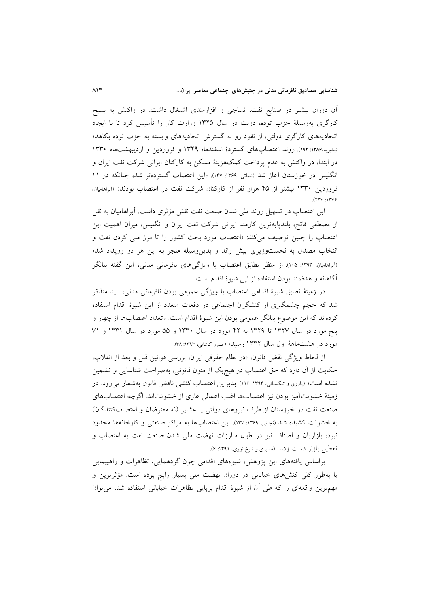آن دوران بیشتر در صنایع نفت، نساجی و افزارمندی اشتغال داشت. در واکنش به بسیج کارگری بهوسیلهٔ حزب توده، دولت در سال ۱۳۲۵ وزارت کار را تأسیس کرد تا با ایجاد اتحادیههای کارگری دولتی، از نفوذ رو به گسترش اتحادیههای وابسته به حزب توده بکاهد» (بشیریه،۱۳۸۶: ۱۹۲). روند اعتصابهای گستردهٔ اسفندماه ۱۳۲۹ و فروردین و اردیبهشتماه ۱۳۳۰ در ابتدا، در واکنش به عدم پرداخت کمکهزینهٔ مسکن به کارکنان ایرانی شرکت نفت ایران و انگلیس در خوزستان آغاز شد (نجاتی، ۱۳۶۹: ۱۳۷). «این اعتصاب گستردهتر شد، چنانکه در ۱۱ فروردین ۱۳۳۰ بیشتر از ۴۵ هزار نفر از کارکنان شرکت نفت در اعتصاب بودند» (آبراهامیان،  $(11.11)$ 

این اعتصاب در تسهیل روند ملی شدن صنعت نفت نقش مؤثری داشت. آبراهامیان به نقل از مصطفى فاتح، بلندپايهترين كارمند ايراني شركت نفت ايران و انگليس، ميزان اهميت اين اعتصاب را چنین توصیف میکند: «اعتصاب مورد بحث کشور را تا مرز ملی کردن نفت و انتخاب مصدق به نخستوزیری پیش راند و بدینوسیله منجر به این هر دو رویداد شد» (اَبراهامیان، ۱۳۹۳: ۱۰۵). از منظر تطابق اعتصاب با ویژگیهای نافرمانی مدنی، این گفته بیانگر آگاهانه و هدفمند بودن استفاده از این شیوهٔ اقدام است.

در زمینهٔ تطابق شیوهٔ اقدامی اعتصاب با ویژگی عمومی بودن نافرمانی مدنی، باید متذکر شد که حجم چشمگیری از کنشگران اجتماعی در دفعات متعدد از این شیوهٔ اقدام استفاده کردهاند که این موضوع بیانگر عمومی بودن این شیوهٔ اقدام است. «تعداد اعتصابها از چهار و پنج مورد در سال ۱۳۲۷ تا ۱۳۲۹ به ۴۲ مورد در سال ۱۳۳۰ و ۵۵ مورد در سال ۱۳۳۱ و ۷۱ مورد در هشت.ماههٔ اول سال ۱۳۳۲ رسید» (علم و کاشانی، ۱۳۹۳: ۳۸).

از لحاظ ويژگي نقض قانون، «در نظام حقوقي ايران، بررسي قوانين قبل و بعد از انقلاب، حکایت از آن دارد که حق اعتصاب در هیچیک از متون قانونی، بهصراحت شناسایی و تضمین نشده است» (یاوری و تنگستانی، ۱۳۹۳: ۱۱۶). بنابراین اعتصاب کنشی ناقض قانون بهشمار می رود. در زمینهٔ خشونتآمیز بودن نیز اعتصابها اغلب اعمالی عاری از خشونتاند. اگرچه اعتصابهای صنعت نفت در خوزستان از طرف نیروهای دولتی یا عشایر (نه معترضان و اعتصابِکنندگان) به خشونت كشيده شد (نجاتي، ١٣۶٩: ١٣٧). اين اعتصابها به مراكز صنعتي و كارخانهها محدود نبود، بازاریان و اصناف نیز در طول مبارزات نهضت ملی شدن صنعت نفت به اعتصاب و تعطیل بازار دست زدند (صابری و شیخ نوری، ۱۳۹۱: ۶).

براساس یافتههای این پژوهش، شیوههای اقدامی چون گردهمایی، تظاهرات و راهپیمایی یا بهطور کلی کنشهای خیابانی در دوران نهضت ملی بسیار رایج بوده است. مؤثرترین و مهمترین واقعهای را که طی أن از شیوهٔ اقدام برپایی تظاهرات خیابانی استفاده شد، می توان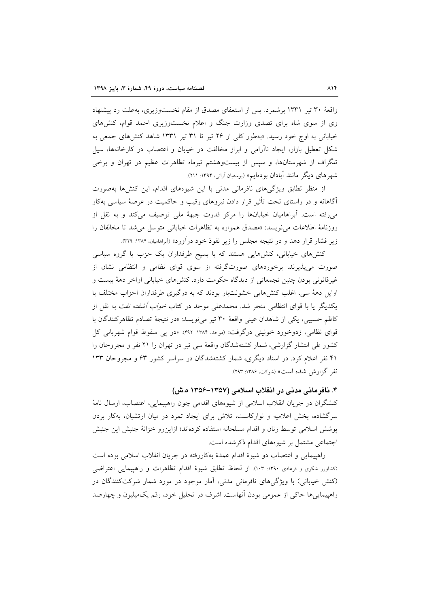واقعهٔ ۳۰ تیر ۱۳۳۱ برشمرد. پس از استعفای مصدق از مقام نخستوزیری، به علت رد پیشنهاد وی از سوی شاه برای تصدی وزارت جنگ و اعلام نخستوزیری احمد قوام، کنشهای خیابانی به اوج خود رسید. «بهطور کلی از ۲۶ تیر تا ۳۱ تیر ۱۳۳۱ شاهد کنشهای جمعی به شکل تعطیل بازار، ایجاد ناآرامی و ابراز مخالفت در خیابان و اعتصاب در کارخانهها، سیل تلگراف از شهرستانها، و سپس از بیستوهشتم تیرماه تظاهرات عظیم در تهران و برخی شهرهای دیگر مانند آبادان بودهایم» (یوسفیان آرانی، ۱۳۹۴: ۲۱۱).

از منظر تطابق ویژگیهای نافرمانی مدنی با این شیوههای اقدام، این کنشها بهصورت آگاهانه و در راستای تحت تأثیر قرار دادن نیروهای رقیب و حاکمیت در عرصهٔ سیاسی بهکار می رفته است. آبراهامیان خیابانها را مرکز قدرت جبههٔ ملی توصیف میکند و به نقل از روزنامهٔ اطلاعات می نویسد: «مصدق همواره به تظاهرات خیابانی متوسل می شد تا مخالفان را زیر فشار قرار دهد و در نتیجه مجلس را زیر نفوذ خود درآورد» (اَبراهامیان، ۱۳۸۴: ۳۲۹).

کنشهای خیابانی، کنشهایی هستند که با بسیج طرفداران یک حزب یا گروه سیاسی صورت می پذیرند. برخوردهای صورتگرفته از سوی قوای نظامی و انتظامی نشان از غیرقانونی بودن چنین تجمعاتی از دیدگاه حکومت دارد. کنشهای خیابانی اواخر دههٔ بیست و اوایل دههٔ سی، اغلب کنشهایی خشونتبار بودند که به درگیری طرفداران احزاب مختلف با یکدیگر یا با قوای انتظامی منجر شد. محمدعلی موحد در کتاب *خواب آشفته نفت* به نقل از كاظم حسيبي، يكي از شاهدان عيني واقعة ٣٠ تير مي نويسد: «در نتيجة تصادم تظاهر كنندگان با قوای نظامی، زدوخورد خونینی درگرفت» (موحد، ۱۳۸۴: ۴۹۲). «در یبی سقوط قوام شهربانی کل کشور طی انتشار گزارشی، شمار کشتهشدگان واقعهٔ سی تیر در تهران را ۲۱ نفر و مجروحان را ۴۱ نفر اعلام کرد. در اسناد دیگری، شمار کشتهشدگان در سراسر کشور ۶۳ و مجروحان ۱۳۳ نفر گزارش شده است» (شوکت، ۱۳۸۶: ۲۹۳).

۴. نافرمانی مدنی در انقلاب اسلامی (۱۳۵۷–۱۳۵۶ ه.ش) کنشگران در جریان انقلاب اسلامی از شیوههای اقدامی چون راهپیمایی، اعتصاب، ارسال نامهٔ سرگشاده، پخش اعلامیه و نوارکاست، تلاش برای ایجاد تمرد در میان ارتشیان، بهکار بردن پوشش اسلامی توسط زنان و اقدام مسلحانه استفاده کردهاند؛ ازاین٫و خزانهٔ جنبش این جنبش اجتماعی مشتمل بر شیوههای اقدام ذکرشده است.

راهپیمایی و اعتصاب دو شیوهٔ اقدام عمدهٔ بهکاررفته در جریان انقلاب اسلامی بوده است (کشاورز شکری و فرهادی ۱۳۹۰: ۱۰۳). از لحاظ تطابق شیوهٔ اقدام تظاهرات و راهپیمایی اعتراضی (کنش خیابانی) با ویژگیهای نافرمانی مدنی، آمار موجود در مورد شمار شرکتکنندگان در راهپیمایی ها حاکی از عمومی بودن آنهاست. اشرف در تحلیل خود، رقم یکمپلیون و چهارصد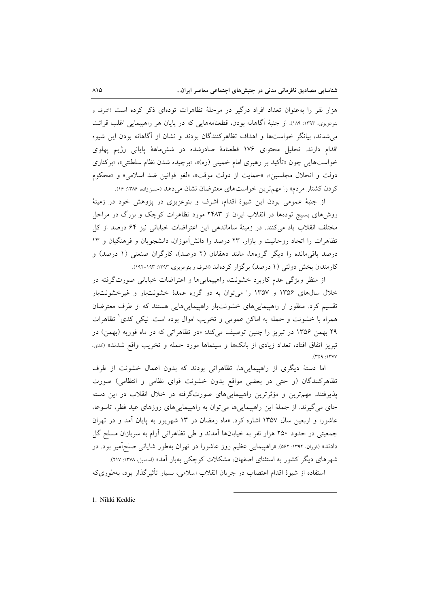هزار نفر را بهعنوان تعداد افراد درگیر در مرحلهٔ تظاهرات تودهای ذکر کرده است (اشرف و بنوعزیزی، ۱۳۹۳: ۱۸۹). از جنبهٔ آگاهانه بودن، قطعنامههایی که در پایان هر راهپیمایی اغلب قرائت می شدند، بیانگر خواستها و اهداف تظاهرِکنندگان بودند و نشان از آگاهانه بودن این شیوه اقدام دارند. تحلیل محتوای ۱۷۶ قطعنامهٔ صادرشده در ششهاههٔ پایانی رژیم پهلوی خواستهایی چون «تأکید بر رهبری امام خمینی (ره)»، «برچیده شدن نظام سلطنتی»، «برکناری دولت و انحلال مجلسين»، «حمايت از دولت موقت»، «لغو قوانين ضد اسلامي» و «محكوم كردن كشتار مردم» را مهم ترين خواستهاى معترضان نشان مى دهد (حسنزاده، ۱۳۸۶: ۱۶).

از جنبهٔ عمومی بودن این شیوهٔ اقدام، اشرف و بنوعزیزی در پژوهش خود در زمینهٔ روشهای بسیج تودهها در انقلاب ایران از ۲۴۸۳ مورد تظاهرات کوچک و بزرگ در مراحل مختلف انقلاب ياد مي كنند. در زمينهٔ ساماندهي اين اعتراضات خياباني نيز ۶۴ درصد از كل تظاهرات را اتحاد روحانیت و بازار، ۲۳ درصد را دانش آموزان، دانشجویان و فرهنگیان و ۱۳ درصد باقی مانده را دیگر گروهها، مانند دهقانان (۲ درصد)، کارگران صنعتی (۱ درصد) و کارمندان بخش دولتی (۱ درصد) برگزار کردهاند (اشرف و بنوعزیزی، ۱۳۹۳: ۱۹۳-۱۹۲).

از منظر ویژگی عدم کاربرد خشونت، راهپیماییها و اعتراضات خیابانی صورتگرفته در خلال سال های ۱۳۵۶ و ۱۳۵۷ را می توان به دو گروه عمدهٔ خشونتبار و غیرخشونتبار تقسیم کرد. منظور از راهپیماییهای خشونتبار راهپیماییهایی هستند که از طرف معترضان همراه با خشونت و حمله به اماکن عمومی و تخریب اموال بوده است. نیکی کدی ٰ تظاهرات ۲۹ بهمن ۱۳۵۶ در تبریز را چنین توصیف میکند: «در تظاهراتی که در ماه فوریه (بهمن) در تبریز اتفاق افتاد، تعداد زیادی از بانکها و سینماها مورد حمله و تخریب واقع شدند» (کدی،  $(409.14)$ 

اما دستهٔ دیگری از راهپیماییها، تظاهراتی بودند که بدون اعمال خشونت از طرف تظاهرکنندگان (و حتی در بعضی مواقع بدون خشونت قوای نظامی و انتظامی) صورت پذیرفتند. مهمترین و مؤثرترین راهپیماییهای صورتگرفته در خلال انقلاب در این دسته جای می گیرند. از جملهٔ این راهپیمایی ها می توان به راهپیمایی های روزهای عید فطر، تاسوعا، عاشورا و اربعین سال ۱۳۵۷ اشاره کرد. «ماه رمضان در ۱۳ شهریور به پایان آمد و در تهران جمعیتی در حدود ۲۵۰ هزار نفر به خیابانها آمدند و طی تظاهراتی آرام به سربازان مسلح گل دادند» (<sub>فوران</sub>, ۱۳۹۴: ۵۶۲). «راهپیمایی عظیم روز عاشورا در تهران بهطور شایانی صلحآمیز بود. در شهرهای دیگر کشور به استثنای اصفهان، مشکلات کوچکی بهبار آمد» (استمپل، ۱۳۷۸: ۲۱۷).

استفاده از شیوهٔ اقدام اعتصاب در جریان انقلاب اسلامی، بسیار تأثیرگذار بود، بهطوریکه

1. Nikki Keddie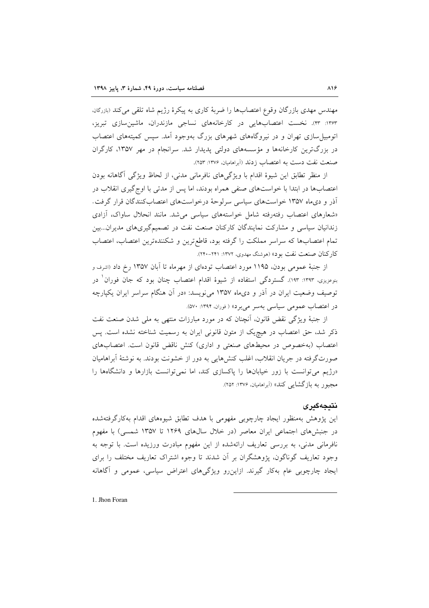مهندس مهدی بازرگان وقوع اعتصابها را ضربهٔ کاری به پیکرهٔ رژیم شاه تلقی می کند (بازرگان، ۱۳۶۳: ۴۳). نخست اعتصابهایی در کارخانههای نساجی مازندران، ماشین سازی تبریز، اتومبیل سازی تهران و در نیروگاههای شهرهای بزرگ بهوجود آمد. سپس کمیتههای اعتصاب در بزرگترین کارخانهها و مؤسسههای دولتی پدیدار شد. سرانجام در مهر ۱۳۵۷، کارگران صنعت نفت دست به اعتصاب زدند (آبراهامیان، ۱۳۷۶: ۲۵۳).

از منظر تطابق این شیوهٔ اقدام با ویژگیهای نافرمانی مدنی، از لحاظ ویژگی آگاهانه بودن اعتصابها در ابتدا با خواستهای صنفی همراه بودند، اما پس از مدتی با اوجگیری انقلاب در آذر و دیماه ۱۳۵۷ خواستهای سیاسی سرلوحهٔ درخواستهای اعتصابکنندگان قرار گرفت. «شعارهای اعتصاب رفتهرفته شامل خواستههای سیاسی می شد. مانند انحلال ساواک، آزادی زندانیان سیاسی و مشارکت نمایندگان کارکنان صنعت نفت در تصمیمگیریهای مدیران...بین تمام اعتصابها كه سراسر مملكت را گرفته بود، قاطع ترين و شكنندهترين اعتصاب، اعتصاب كاركنان صنعت نفت بود» (هوشنگ مهدوى، ١٣٧٢: ٢٢١-٢٢٠).

از جنبهٔ عمومی بودن، ۱۱۹۵ مورد اعتصاب تودهای از مهرماه تا آبان ۱۳۵۷ رخ داد (اشرف و بنوعزیزی، ۱۳۹۳: ۱۹۳). گستردگی استفاده از شیوهٔ اقدام اعتصاب چنان بود که جان فوران ٰ در توصیف وضعیت ایران در آذر و دیماه ۱۳۵۷ می نویسد: «در آن هنگام سراسر ایران یکپارچه در اعتصاب عمومی سیاسی بهسر می برد» ( فوران، ۱۳۹۴: ۵۷۰).

از جنبهٔ ویژگی نقض قانون، آنچنان که در مورد مبارزات منتهی به ملی شدن صنعت نفت ذکر شد، حق اعتصاب در هیچیک از متون قانونی ایران به رسمیت شناخته نشده است. پس اعتصاب (بهخصوص در محیطهای صنعتی و اداری) کنش ناقض قانون است. اعتصابهای صورتگرفته در جریان انقلاب، اغلب کنشهایی به دور از خشونت بودند. به نوشتهٔ أبراهامیان «رژیم می توانست با زور خیابانها را پاکسازی کند، اما نمی توانست بازارها و دانشگاهها را مجبور به بازگشایی کند» (آبراهامیان، ۱۳۷۶: ۲۵۲).

#### نتيجەگيرى

این پژوهش بهمنظور ایجاد چارچوبی مفهومی با هدف تطابق شیوههای اقدام بهکارگرفتهشده در جنبش های اجتماعی ایران معاصر (در خلال سالهای ۱۲۶۹ تا ۱۳۵۷ شمسی) با مفهوم نافرمانی مدنی، به بررسی تعاریف ارائهشده از این مفهوم مبادرت ورزیده است. با توجه به وجود تعاریف گوناگون، پژوهشگران بر آن شدند تا وجوه اشتراک تعاریف مختلف را برای ایجاد چارچوبی عام بهکار گیرند. ازاین رو ویژگیهای اعتراض سیاسی، عمومی و آگاهانه

1. Jhon Foran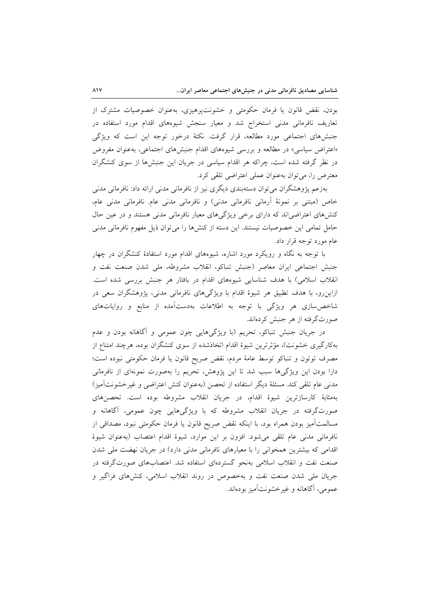بودن، نقض قانون یا فرمان حکومتی و خشونتپرهیزی، بهعنوان خصوصیات مشترک از تعاریف نافرمانی مدنی استخراج شد و معیار سنجش شیوههای اقدام مورد استفاده در جنبشهای اجتماعی مورد مطالعه، قرار گرفت. نکتهٔ درخور توجه این است که ویژگی «اعتراض سیاسی» در مطالعه و بررسی شیوههای اقدام جنبشهای اجتماعی، به عنوان مفروض در نظر گرفته شده است، چراکه هر اقدام سیاسی در جریان این جنبشها از سوی کنشگران معترض را، می توان بهعنوان عملی اعتراضی تلقی کرد.

بهزعم پژوهشگران می توان دستهبندی دیگری نیز از نافرمانی مدنی ارائه داد: نافرمانی مدنی خاص (مبتنی بر نمونهٔ آرمانی نافرمانی مدنی) و نافرمانی مدنی عام. نافرمانی مدنی عام، کنشهای اعتراضی اند که دارای برخی ویژگیهای معیار نافرمانی مدنی هستند و در عین حال حامل تمامی این خصوصیات نیستند. این دسته از کنشها را می توان ذیل مفهوم نافرمانی مدنی عام مورد توجه قرار داد.

با توجه به نگاه و رویکرد مورد اشاره، شیوههای اقدام مورد استفادهٔ کنشگران در چهار جنبش اجتماعی ایران معاصر (جنبش تنباکو، انقلاب مشروطه، ملی شدن صنعت نفت و انقلاب اسلامی) با هدف شناسایی شیوههای اقدام در بافتار هر جنبش بررسی شده است. ازاینرو، با هدف تطبیق هر شیوهٔ اقدام با ویژگیهای نافرمانی مدنی، پژوهشگران سعی در شاخص سازی هر ویژگی با توجه به اطلاعات بهدستآمده از منابع و روایاتهای صورتگرفته از هر جنبش کردهاند.

در جریان جنبش تنباکو، تحریم (با ویژگیهایی چون عمومی و آگاهانه بودن و عدم بهکارگیری خشونت)، مؤثرترین شیوهٔ اقدام اتخاذشده از سوی کنشگران بوده، هرچند امتناع از مصرف توتون و تنباكو توسط عامهٔ مردم، نقض صریح قانون یا فرمان حكومتی نبوده است؛ دارا بودن این ویژگیها سبب شد تا این پژوهش، تحریم را بهصورت نمونهای از نافرمانی مدنی عام تلقی کند. مسئلهٔ دیگر استفاده از تحصن (بهعنوان کنش اعتراضی و غیرخشونتآمیز) بهمثابهٔ کارسازترین شیوهٔ اقدام، در جریان انقلاب مشروطه بوده است. تحصنهای صورتگرفته در جریان انقلاب مشروطه که با ویژگیهایی چون عمومی، آگاهانه و مسالمتآمیز بودن همراه بود، با اینکه نقض صریح قانون یا فرمان حکومتی نبود، مصداقی از نافرمانی مدنی عام تلقی می شود. افزون بر این موارد، شیوهٔ اقدام اعتصاب (بهعنوان شیوهٔ اقدامی که بیشترین همخوانی را با معیارهای نافرمانی مدنی دارد) در جریان نهضت ملی شدن صنعت نفت و انقلاب اسلامی بهنحو گستردهای استفاده شد. اعتصابهای صورتگرفته در جریان ملی شدن صنعت نفت و بهخصوص در روند انقلاب اسلامی، کنشهای فراگیر و عمومي، آگاهانه و غير خشونتآميز بودهاند.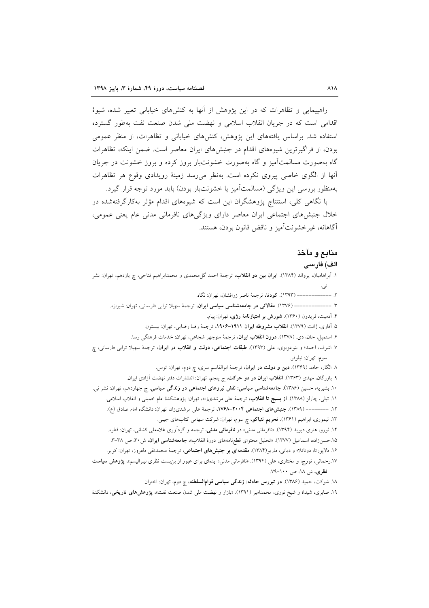راهپیمایی و تظاهرات که در این پژوهش از آنها به کنشهای خیابانی تعبیر شده، شیوهٔ اقدامی است که در جریان انقلاب اسلامی و نهضت ملی شدن صنعت نفت بهطور گسترده استفاده شد. براساس یافتههای این پژوهش، کنشهای خیابانی و تظاهرات، از منظر عمومی بودن، از فراگیرترین شیوههای اقدام در جنبشهای ایران معاصر است. ضمن اینکه، تظاهرات گاه بهصورت مسالمتآمیز و گاه بهصورت خشونتبار بروز کرده و بروز خشونت در جریان أنها از الگوی خاصی پیروی نکرده است. بهنظر میرسد زمینهٔ رویدادی وقوع هر تظاهرات بهمنظور بررسی این ویژگی (مسالمتآمیز یا خشونتبار بودن) باید مورد توجه قرار گیرد.

با نگاهی کلی، استنتاج پژوهشگران این است که شیوههای اقدام مؤثر بهکارگرفتهشده در خلال جنبشهای اجتماعی ایران معاصر دارای ویژگیهای نافرمانی مدنی عام یعنی عمومی، آگاهانه، غير خشونت آميز و ناقض قانون بودن، هستند.

#### منابع و مآخذ

#### الف) فارسى

۱. اَبِراهامیان، یرواند (۱۳۸۴). ا**یران بین دو انقلا**ب، ترجمهٔ احمد گا<sub>،</sub>محمدی و محمدابراهیم فتاحی، چ یازدهم، تهران: نشر ----------- (١٣٩٣). كودتا، ترجمهٔ ناصر زرافشان، تهران: نگاه. ۳. --------------- (۱۳۷۶). مقالاتی در جامعهشناسی سیاسی ایران، ترجمهٔ سهیلا ترابی فارسانی، تهران: شیرازه. ۴. آدمیت، فریدون (۱۳۶۰). <mark>شورش بر امتیازنامهٔ رژی</mark>، تهران: پیام. ۵. آفاري، ژانت (۱۳۷۹). **انقلاب مشروطه ايران ۱۹۱۱–۱۹۰۶**، ترجمهٔ رضا رضايي، تهران: بيستون. ۶. استميل، جان، دي. (١٣٧٨). درون انقلاب ايران، ترجمهٔ منوچهر شجاعي، تهران: خدمات فرهنگي رسا. ۷. اشرف، احمد؛ و بنوعزیزی، عل<sub>ی</sub> (۱۳۹۳). **طبقات اجتماعی، دولت و انقلاب در ایران**، ترجمهٔ سهیلا ترابی فارسانی، چ سوم، تهران: نيلوفر. ٨. الگار، حامد (١٣۶٩). **دين و دولت در ايران**، ترجمهٔ ابوالقاسم سرى، چ دوم، تهران: توس. ۹. بازرگان، مهدی (۱۳۶۳). ا**نقلاب ایران در دو حرکت**، چ پنجم، تهران: انتشارات دفتر نهضت آزادی ایران. ۱۰. بشیریه، حسین (۱۳۸۶). **جامعهشناسی سیاسی: نقش نیروهای اجتماعی در زندگی سیاسی**، چ چهاردهم، تهران: نشر نی. ۱۱. تیلی، چارلز (۱۳۸۸). **از بسیج تا انقلاب**، ترجمهٔ عل<sub>ی</sub> مرشدیزاد، تهران: پژوهشکدهٔ امام خمین<sub>ی</sub> و انقلاب اسلامی. ۱۲. -------- (۱۳۸۹). جنبش های اجتماعی ۲۰۰۴–۱۷۶۸، ترجمهٔ علی مرشدیزاد، تهران: دانشگاه امام صادق (ع). ۱۳. تیموری، ابراهیم (۱۳۶۱). **تحریم تنباکو**، چ سوم، تهران: شرکت سهامی کتابهای جیبی. ۱۴. ثورو، هنری دیوید (۱۳۹۴). «نافرمانی مدنی» در **نافرمانی مدنی**، ترجمه و گردآوری غلامعلی کشانی، تهران: قطره. ۱۵.حسنزاده، اسماعیل (۱۳۷۷). «تحلیل محتوای قطعنامههای دورهٔ انقلاب»، **جامعهشناسی ایران**، ش۳۰ ص ۳۸–۳. ۱۶. دلاپورتا، دوناتلا؛ و دیانی، ماریو(۱۳۸۴). مقدمهای بر جنبشهای اجتماعی، ترجمهٔ محمدتقی دلفروز، تهران: کویر. ۱۷.رحمانی، تورج؛ و مختاری، علی (۱۳۹۴). «نافرمانی مدنی؛ ایدهای برای عبور از بن بست نظری لیبرالیسم»، **پژوهش سیاست** نظری، ش ۱۸، ص ۱۰۰–۷۹. ۱۸. شوکت، حمید (۱۳۸۶). **در تیررس حادثه: زندگی سیاسی قوامالسلطنه**، چ دوم، تهران: اختران. ۱۹. صابری، شیدا؛ و شیخ نوری، محمدامیر (۱۳۹۱). «بازار و نهضت ملی شدن صنعت نفت»، **یژوهش۵ای تاریخی**، دانشکدهٔ